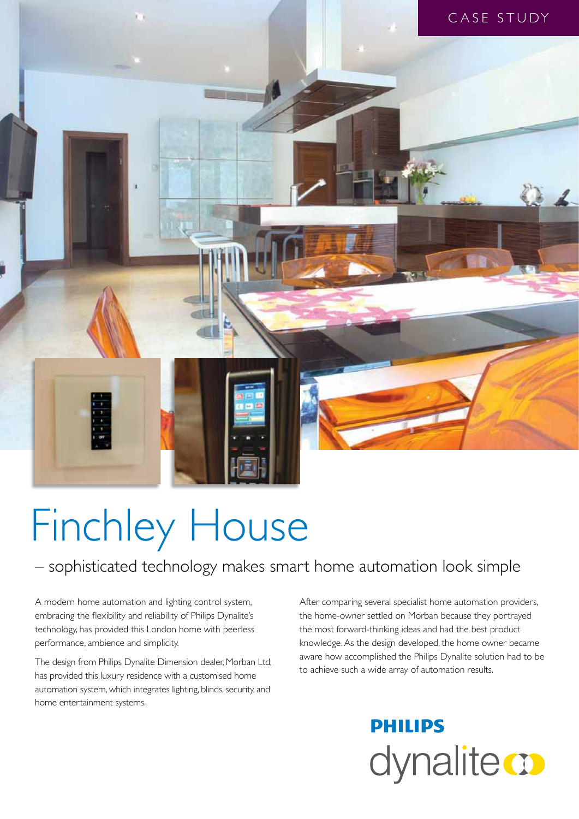

# Finchley House

### – sophisticated technology makes smart home automation look simple

A modern home automation and lighting control system, embracing the flexibility and reliability of Philips Dynalite's technology, has provided this London home with peerless performance, ambience and simplicity.

The design from Philips Dynalite Dimension dealer, Morban Ltd, has provided this luxury residence with a customised home automation system, which integrates lighting, blinds, security, and home entertainment systems.

After comparing several specialist home automation providers, the home-owner settled on Morban because they portrayed the most forward-thinking ideas and had the best product knowledge. As the design developed, the home owner became aware how accomplished the Philips Dynalite solution had to be to achieve such a wide array of automation results.

## **PHILIPS** dynalite **o**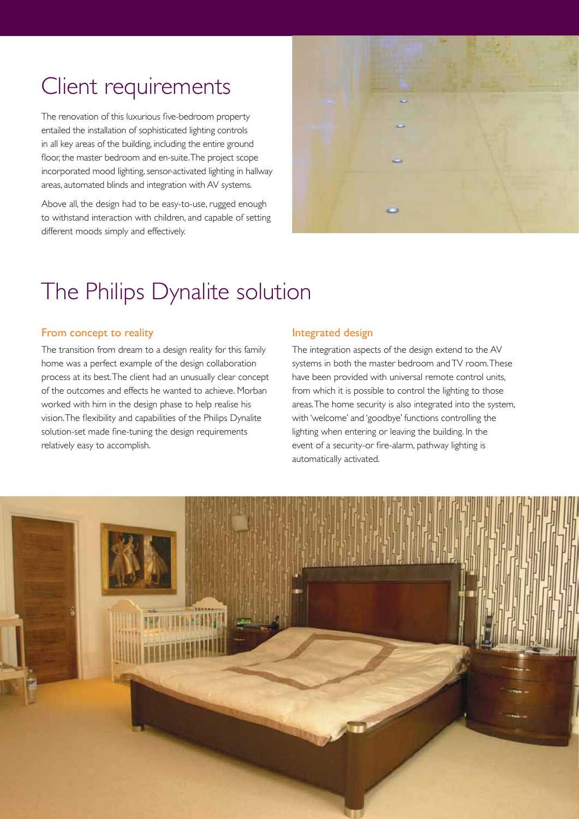## Client requirements

The renovation of this luxurious five-bedroom property entailed the installation of sophisticated lighting controls in all key areas of the building, including the entire ground floor, the master bedroom and en-suite. The project scope incorporated mood lighting, sensor-activated lighting in hallway areas, automated blinds and integration with AV systems.

Above all, the design had to be easy-to-use, rugged enough to withstand interaction with children, and capable of setting different moods simply and effectively.



## The Philips Dynalite solution

#### From concept to reality

The transition from dream to a design reality for this family home was a perfect example of the design collaboration process at its best. The client had an unusually clear concept of the outcomes and effects he wanted to achieve. Morban worked with him in the design phase to help realise his vision. The flexibility and capabilities of the Philips Dynalite solution-set made fine-tuning the design requirements relatively easy to accomplish.

#### Integrated design

The integration aspects of the design extend to the AV systems in both the master bedroom and TV room. These have been provided with universal remote control units, from which it is possible to control the lighting to those areas. The home security is also integrated into the system, with 'welcome' and 'goodbye' functions controlling the lighting when entering or leaving the building. In the event of a security-or fire-alarm, pathway lighting is automatically activated.

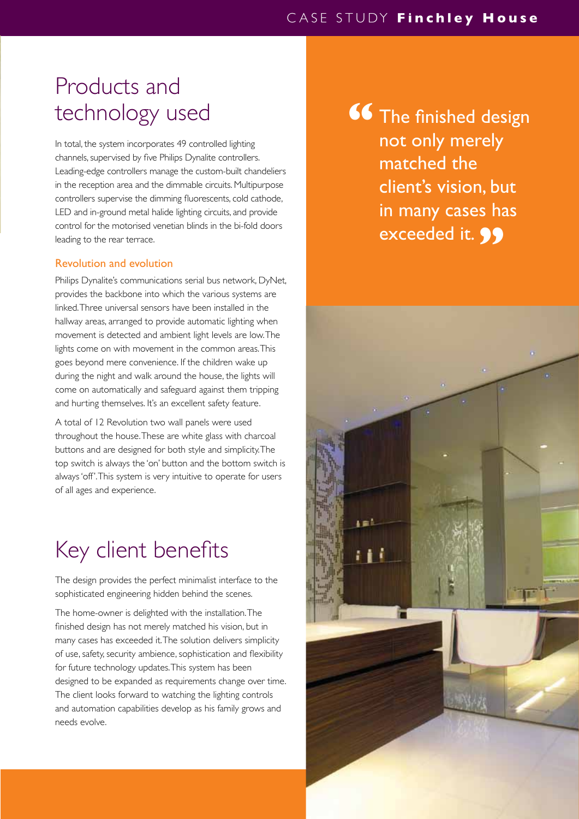## Products and technology used

In total, the system incorporates 49 controlled lighting channels, supervised by five Philips Dynalite controllers. Leading-edge controllers manage the custom-built chandeliers in the reception area and the dimmable circuits. Multipurpose controllers supervise the dimming fluorescents, cold cathode, LED and in-ground metal halide lighting circuits, and provide control for the motorised venetian blinds in the bi-fold doors leading to the rear terrace.

#### Revolution and evolution

Philips Dynalite's communications serial bus network, DyNet, provides the backbone into which the various systems are linked. Three universal sensors have been installed in the hallway areas, arranged to provide automatic lighting when movement is detected and ambient light levels are low. The lights come on with movement in the common areas. This goes beyond mere convenience. If the children wake up during the night and walk around the house, the lights will come on automatically and safeguard against them tripping and hurting themselves. It's an excellent safety feature.

A total of 12 Revolution two wall panels were used throughout the house. These are white glass with charcoal buttons and are designed for both style and simplicity. The top switch is always the 'on' button and the bottom switch is always 'off'. This system is very intuitive to operate for users of all ages and experience.

## Key client benefits

The design provides the perfect minimalist interface to the sophisticated engineering hidden behind the scenes.

The home-owner is delighted with the installation. The finished design has not merely matched his vision, but in many cases has exceeded it. The solution delivers simplicity of use, safety, security ambience, sophistication and flexibility for future technology updates. This system has been designed to be expanded as requirements change over time. The client looks forward to watching the lighting controls and automation capabilities develop as his family grows and needs evolve.

The finished design not only merely matched the client's vision, but in many cases has exceeded it. **99 "**